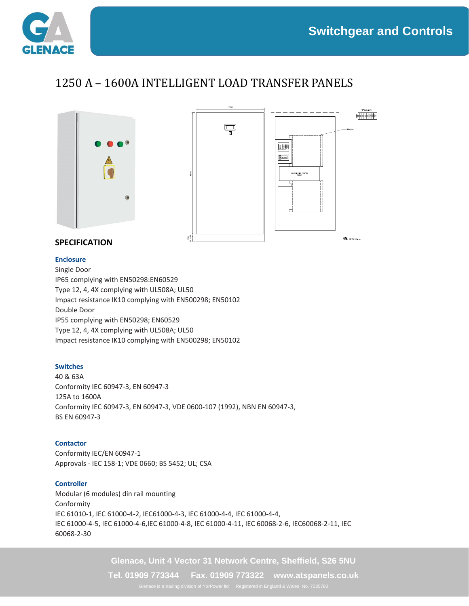

## 1250 A – 1600A INTELLIGENT LOAD TRANSFER PANELS



### **SPECIFICATION**

#### **Enclosure**

Single Door IP65 complying with EN50298:EN60529 Type 12, 4, 4X complying with UL508A; UL50 Impact resistance IK10 complying with EN500298; EN50102 Double Door IP55 complying with EN50298; EN60529 Type 12, 4, 4X complying with UL508A; UL50 Impact resistance IK10 complying with EN500298; EN50102

#### **Switches**

40 & 63A Conformity IEC 60947-3, EN 60947-3 125A to 1600A Conformity IEC 60947-3, EN 60947-3, VDE 0600-107 (1992), NBN EN 60947-3, BS EN 60947-3

#### **Contactor**

Conformity IEC/EN 60947-1 Approvals - IEC 158-1; VDE 0660; BS 5452; UL; CSA

#### **Controller**

Modular (6 modules) din rail mounting Conformity IEC 61010-1, IEC 61000-4-2, IEC61000-4-3, IEC 61000-4-4, IEC 61000-4-4, IEC 61000-4-5, IEC 61000-4-6,IEC 61000-4-8, IEC 61000-4-11, IEC 60068-2-6, IEC60068-2-11, IEC 60068-2-30

**Glenace, Unit 4 Vector 31 Network Centre, Sheffield, S26 5NU**

**Tel. 01909 773344 Fax. 01909 773322 www.atspanels.co.uk**